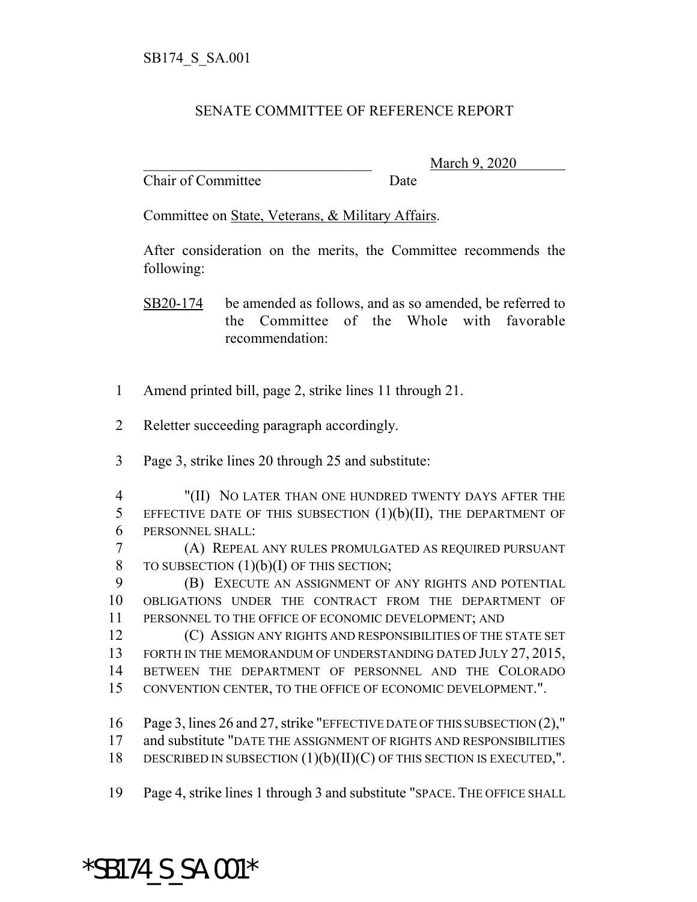## SENATE COMMITTEE OF REFERENCE REPORT

Chair of Committee Date

\_\_\_\_\_\_\_\_\_\_\_\_\_\_\_\_\_\_\_\_\_\_\_\_\_\_\_\_\_\_\_ March 9, 2020

Committee on State, Veterans, & Military Affairs.

After consideration on the merits, the Committee recommends the following:

SB20-174 be amended as follows, and as so amended, be referred to the Committee of the Whole with favorable recommendation:

- 1 Amend printed bill, page 2, strike lines 11 through 21.
- 2 Reletter succeeding paragraph accordingly.
- 3 Page 3, strike lines 20 through 25 and substitute:
- 4 "(II) NO LATER THAN ONE HUNDRED TWENTY DAYS AFTER THE 5 EFFECTIVE DATE OF THIS SUBSECTION  $(1)(b)(II)$ , THE DEPARTMENT OF 6 PERSONNEL SHALL:
- 7 (A) REPEAL ANY RULES PROMULGATED AS REQUIRED PURSUANT 8 TO SUBSECTION  $(1)(b)(I)$  OF THIS SECTION;

9 (B) EXECUTE AN ASSIGNMENT OF ANY RIGHTS AND POTENTIAL 10 OBLIGATIONS UNDER THE CONTRACT FROM THE DEPARTMENT OF 11 PERSONNEL TO THE OFFICE OF ECONOMIC DEVELOPMENT; AND

 (C) ASSIGN ANY RIGHTS AND RESPONSIBILITIES OF THE STATE SET 13 FORTH IN THE MEMORANDUM OF UNDERSTANDING DATED JULY 27, 2015, BETWEEN THE DEPARTMENT OF PERSONNEL AND THE COLORADO CONVENTION CENTER, TO THE OFFICE OF ECONOMIC DEVELOPMENT.".

16 Page 3, lines 26 and 27, strike "EFFECTIVE DATE OF THIS SUBSECTION (2),"

- 17 and substitute "DATE THE ASSIGNMENT OF RIGHTS AND RESPONSIBILITIES
- 18 DESCRIBED IN SUBSECTION (1)(b)(II)(C) OF THIS SECTION IS EXECUTED,".
- 19 Page 4, strike lines 1 through 3 and substitute "SPACE. THE OFFICE SHALL

## \*SB174\_S\_SA.001\*